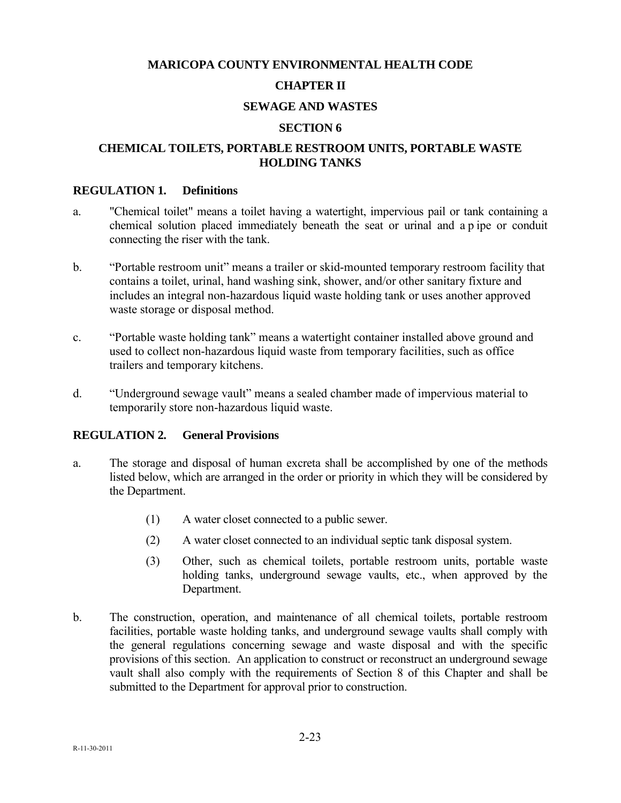# **MARICOPA COUNTY ENVIRONMENTAL HEALTH CODE**

## **CHAPTER II**

### **SEWAGE AND WASTES**

#### **SECTION 6**

### **CHEMICAL TOILETS, PORTABLE RESTROOM UNITS, PORTABLE WASTE HOLDING TANKS**

### **REGULATION 1. Definitions**

- a. "Chemical toilet" means a toilet having a watertight, impervious pail or tank containing a chemical solution placed immediately beneath the seat or urinal and a p ipe or conduit connecting the riser with the tank.
- b. "Portable restroom unit" means a trailer or skid-mounted temporary restroom facility that contains a toilet, urinal, hand washing sink, shower, and/or other sanitary fixture and includes an integral non-hazardous liquid waste holding tank or uses another approved waste storage or disposal method.
- c. "Portable waste holding tank" means a watertight container installed above ground and used to collect non-hazardous liquid waste from temporary facilities, such as office trailers and temporary kitchens.
- d. "Underground sewage vault" means a sealed chamber made of impervious material to temporarily store non-hazardous liquid waste.

### **REGULATION 2. General Provisions**

- a. The storage and disposal of human excreta shall be accomplished by one of the methods listed below, which are arranged in the order or priority in which they will be considered by the Department.
	- (1) A water closet connected to a public sewer.
	- (2) A water closet connected to an individual septic tank disposal system.
	- (3) Other, such as chemical toilets, portable restroom units, portable waste holding tanks, underground sewage vaults, etc., when approved by the Department.
- b. The construction, operation, and maintenance of all chemical toilets, portable restroom facilities, portable waste holding tanks, and underground sewage vaults shall comply with the general regulations concerning sewage and waste disposal and with the specific provisions of this section. An application to construct or reconstruct an underground sewage vault shall also comply with the requirements of Section 8 of this Chapter and shall be submitted to the Department for approval prior to construction.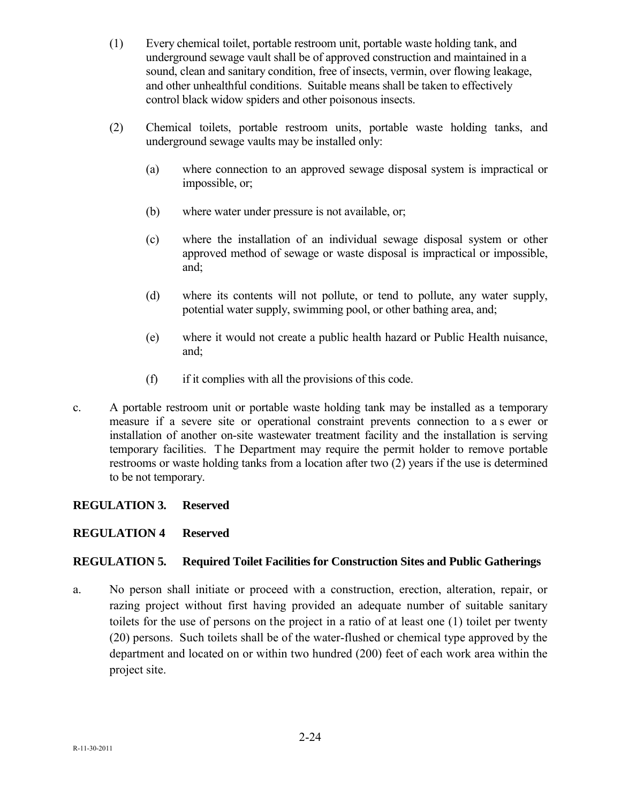- (1) Every chemical toilet, portable restroom unit, portable waste holding tank, and underground sewage vault shall be of approved construction and maintained in a sound, clean and sanitary condition, free of insects, vermin, over flowing leakage, and other unhealthful conditions. Suitable means shall be taken to effectively control black widow spiders and other poisonous insects.
- (2) Chemical toilets, portable restroom units, portable waste holding tanks, and underground sewage vaults may be installed only:
	- (a) where connection to an approved sewage disposal system is impractical or impossible, or;
	- (b) where water under pressure is not available, or;
	- (c) where the installation of an individual sewage disposal system or other approved method of sewage or waste disposal is impractical or impossible, and;
	- (d) where its contents will not pollute, or tend to pollute, any water supply, potential water supply, swimming pool, or other bathing area, and;
	- (e) where it would not create a public health hazard or Public Health nuisance, and;
	- (f) if it complies with all the provisions of this code.
- c. A portable restroom unit or portable waste holding tank may be installed as a temporary measure if a severe site or operational constraint prevents connection to a s ewer or installation of another on-site wastewater treatment facility and the installation is serving temporary facilities. T he Department may require the permit holder to remove portable restrooms or waste holding tanks from a location after two (2) years if the use is determined to be not temporary.

# **REGULATION 3. Reserved**

### **REGULATION 4 Reserved**

### **REGULATION 5. Required Toilet Facilities for Construction Sites and Public Gatherings**

a. No person shall initiate or proceed with a construction, erection, alteration, repair, or razing project without first having provided an adequate number of suitable sanitary toilets for the use of persons on the project in a ratio of at least one (1) toilet per twenty (20) persons. Such toilets shall be of the water-flushed or chemical type approved by the department and located on or within two hundred (200) feet of each work area within the project site.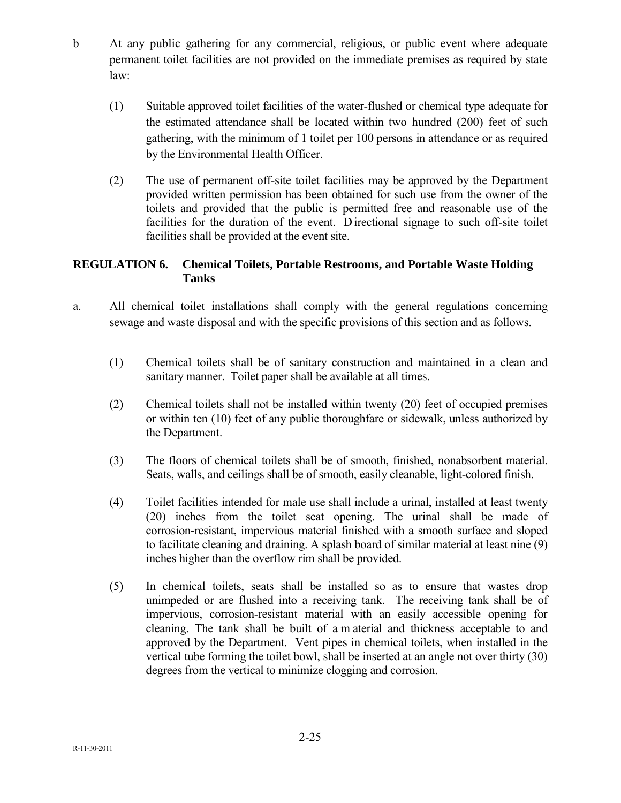- b At any public gathering for any commercial, religious, or public event where adequate permanent toilet facilities are not provided on the immediate premises as required by state law:
	- (1) Suitable approved toilet facilities of the water-flushed or chemical type adequate for the estimated attendance shall be located within two hundred (200) feet of such gathering, with the minimum of 1 toilet per 100 persons in attendance or as required by the Environmental Health Officer.
	- (2) The use of permanent off-site toilet facilities may be approved by the Department provided written permission has been obtained for such use from the owner of the toilets and provided that the public is permitted free and reasonable use of the facilities for the duration of the event. D irectional signage to such off-site toilet facilities shall be provided at the event site.

## **REGULATION 6. Chemical Toilets, Portable Restrooms, and Portable Waste Holding Tanks**

- a. All chemical toilet installations shall comply with the general regulations concerning sewage and waste disposal and with the specific provisions of this section and as follows.
	- (1) Chemical toilets shall be of sanitary construction and maintained in a clean and sanitary manner. Toilet paper shall be available at all times.
	- (2) Chemical toilets shall not be installed within twenty (20) feet of occupied premises or within ten (10) feet of any public thoroughfare or sidewalk, unless authorized by the Department.
	- (3) The floors of chemical toilets shall be of smooth, finished, nonabsorbent material. Seats, walls, and ceilings shall be of smooth, easily cleanable, light-colored finish.
	- (4) Toilet facilities intended for male use shall include a urinal, installed at least twenty (20) inches from the toilet seat opening. The urinal shall be made of corrosion-resistant, impervious material finished with a smooth surface and sloped to facilitate cleaning and draining. A splash board of similar material at least nine (9) inches higher than the overflow rim shall be provided.
	- (5) In chemical toilets, seats shall be installed so as to ensure that wastes drop unimpeded or are flushed into a receiving tank. The receiving tank shall be of impervious, corrosion-resistant material with an easily accessible opening for cleaning. The tank shall be built of a m aterial and thickness acceptable to and approved by the Department. Vent pipes in chemical toilets, when installed in the vertical tube forming the toilet bowl, shall be inserted at an angle not over thirty (30) degrees from the vertical to minimize clogging and corrosion.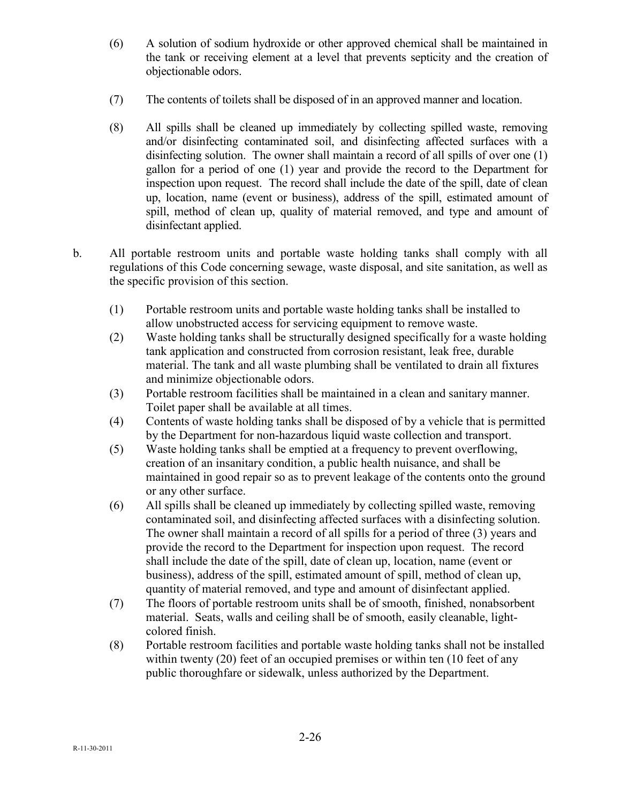- (6) A solution of sodium hydroxide or other approved chemical shall be maintained in the tank or receiving element at a level that prevents septicity and the creation of objectionable odors.
- (7) The contents of toilets shall be disposed of in an approved manner and location.
- (8) All spills shall be cleaned up immediately by collecting spilled waste, removing and/or disinfecting contaminated soil, and disinfecting affected surfaces with a disinfecting solution. The owner shall maintain a record of all spills of over one (1) gallon for a period of one (1) year and provide the record to the Department for inspection upon request. The record shall include the date of the spill, date of clean up, location, name (event or business), address of the spill, estimated amount of spill, method of clean up, quality of material removed, and type and amount of disinfectant applied.
- b. All portable restroom units and portable waste holding tanks shall comply with all regulations of this Code concerning sewage, waste disposal, and site sanitation, as well as the specific provision of this section.
	- (1) Portable restroom units and portable waste holding tanks shall be installed to allow unobstructed access for servicing equipment to remove waste.
	- (2) Waste holding tanks shall be structurally designed specifically for a waste holding tank application and constructed from corrosion resistant, leak free, durable material. The tank and all waste plumbing shall be ventilated to drain all fixtures and minimize objectionable odors.
	- (3) Portable restroom facilities shall be maintained in a clean and sanitary manner. Toilet paper shall be available at all times.
	- (4) Contents of waste holding tanks shall be disposed of by a vehicle that is permitted by the Department for non-hazardous liquid waste collection and transport.
	- (5) Waste holding tanks shall be emptied at a frequency to prevent overflowing, creation of an insanitary condition, a public health nuisance, and shall be maintained in good repair so as to prevent leakage of the contents onto the ground or any other surface.
	- (6) All spills shall be cleaned up immediately by collecting spilled waste, removing contaminated soil, and disinfecting affected surfaces with a disinfecting solution. The owner shall maintain a record of all spills for a period of three (3) years and provide the record to the Department for inspection upon request. The record shall include the date of the spill, date of clean up, location, name (event or business), address of the spill, estimated amount of spill, method of clean up, quantity of material removed, and type and amount of disinfectant applied.
	- (7) The floors of portable restroom units shall be of smooth, finished, nonabsorbent material. Seats, walls and ceiling shall be of smooth, easily cleanable, lightcolored finish.
	- (8) Portable restroom facilities and portable waste holding tanks shall not be installed within twenty (20) feet of an occupied premises or within ten (10 feet of any public thoroughfare or sidewalk, unless authorized by the Department.